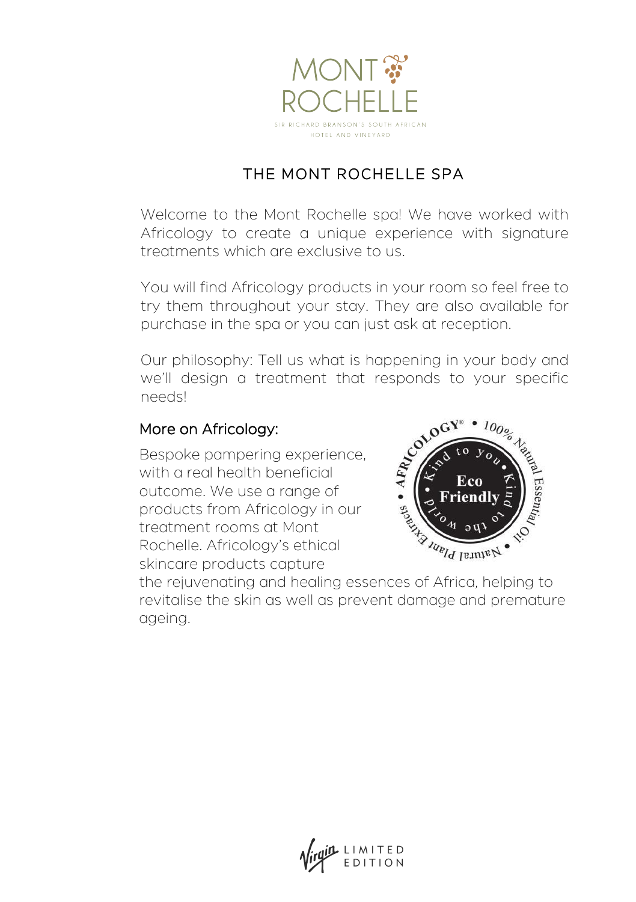

# THE MONT ROCHELLE SPA

Welcome to the Mont Rochelle spa! We have worked with Africology to create a unique experience with signature treatments which are exclusive to us.

You will find Africology products in your room so feel free to try them throughout your stay. They are also available for purchase in the spa or you can just ask at reception.

Our philosophy: Tell us what is happening in your body and we'll design a treatment that responds to your specific needs!

#### More on Africology:

Bespoke pampering experience, with a real health beneficial outcome. We use a range of products from Africology in our treatment rooms at Mont Rochelle. Africology's ethical skincare products capture



the rejuvenating and healing essences of Africa, helping to revitalise the skin as well as prevent damage and premature ageing.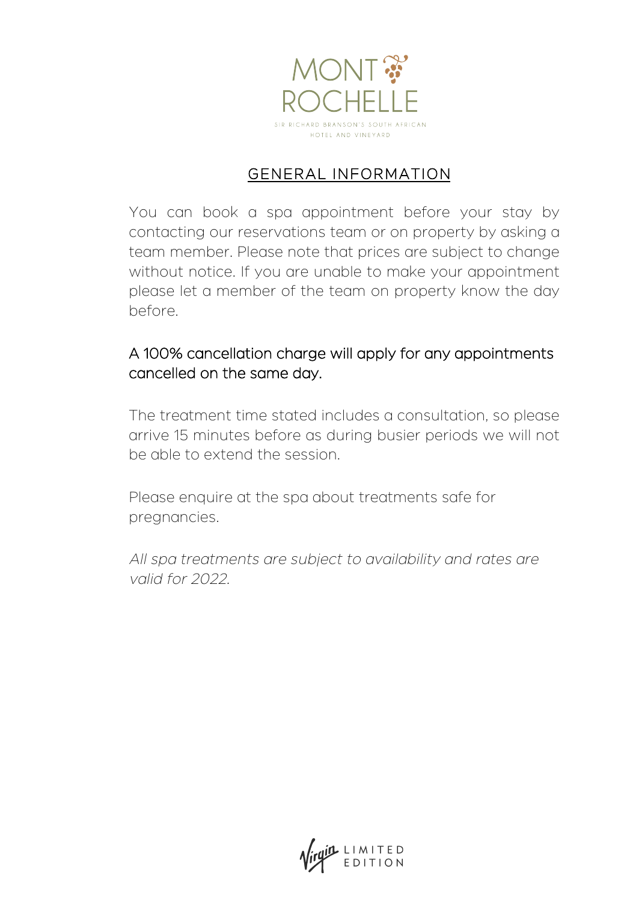

### GENERAL INFORMATION

You can book a spa appointment before your stay by contacting our reservations team or on property by asking a team member. Please note that prices are subject to change without notice. If you are unable to make your appointment please let a member of the team on property know the day before.

#### A 100% cancellation charge will apply for any appointments cancelled on the same day.

The treatment time stated includes a consultation, so please arrive 15 minutes before as during busier periods we will not be able to extend the session.

Please enquire at the spa about treatments safe for pregnancies.

All spa treatments are subject to availability and rates are valid for 2022.

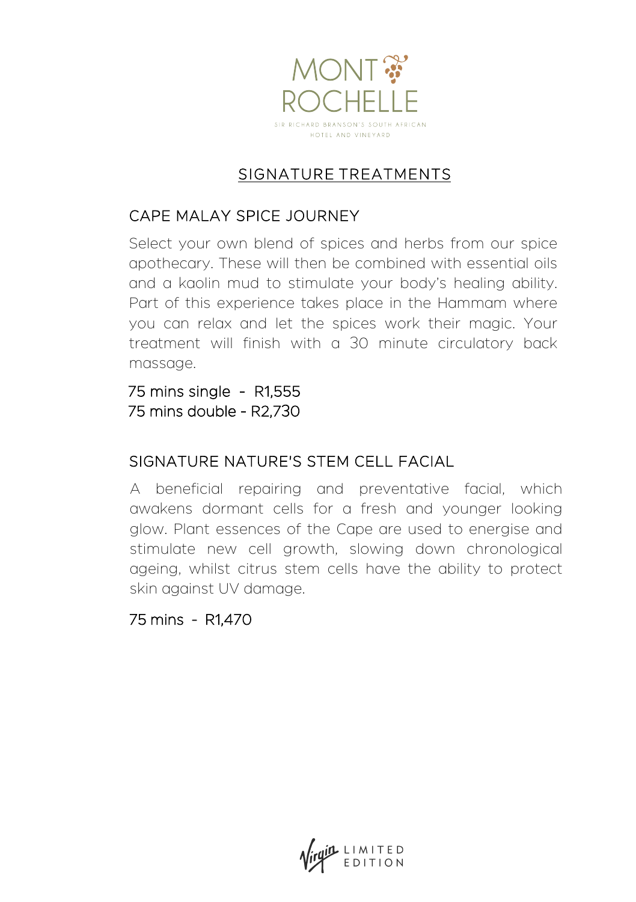

# SIGNATURE TREATMENTS

#### CAPE MALAY SPICE JOURNEY

Select your own blend of spices and herbs from our spice apothecary. These will then be combined with essential oils and a kaolin mud to stimulate your body's healing ability. Part of this experience takes place in the Hammam where you can relax and let the spices work their magic. Your treatment will finish with a 30 minute circulatory back massage.

75 mins single - R1,555 75 mins double - R2,730

#### SIGNATURE NATURE'S STEM CELL FACIAL

A beneficial repairing and preventative facial, which awakens dormant cells for a fresh and younger looking glow. Plant essences of the Cape are used to energise and stimulate new cell growth, slowing down chronological ageing, whilst citrus stem cells have the ability to protect skin against UV damage.

75 mins - R1,470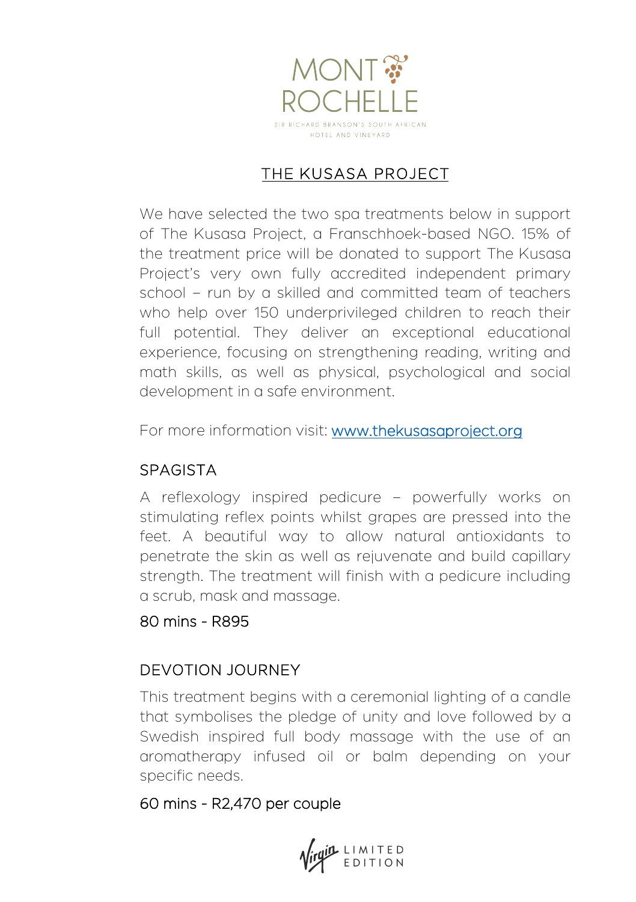

### THE KUSASA PROJECT

We have selected the two spa treatments below in support of The Kusasa Project, a Franschhoek-based NGO. 15% of the treatment price will be donated to support The Kusasa Project's very own fully accredited independent primary school – run by a skilled and committed team of teachers who help over 150 underprivileged children to reach their full potential. They deliver an exceptional educational experience, focusing on strengthening reading, writing and math skills, as well as physical, psychological and social development in a safe environment.

For more information visit: [www.thekusasap](http://www.thekusasaproject.org/)roject.org

# SPAGISTA

A reflexology inspired pedicure – powerfully works on stimulating reflex points whilst grapes are pressed into the feet. A beautiful way to allow natural antioxidants to penetrate the skin as well as rejuvenate and build capillary strength. The treatment will finish with a pedicure including a scrub, mask and massage.

#### 80 mins - R895

#### DEVOTION JOURNEY

This treatment begins with a ceremonial lighting of a candle that symbolises the pledge of unity and love followed by a Swedish inspired full body massage with the use of an aromatherapy infused oil or balm depending on your specific needs.

#### 60 mins - R2,470 per couple

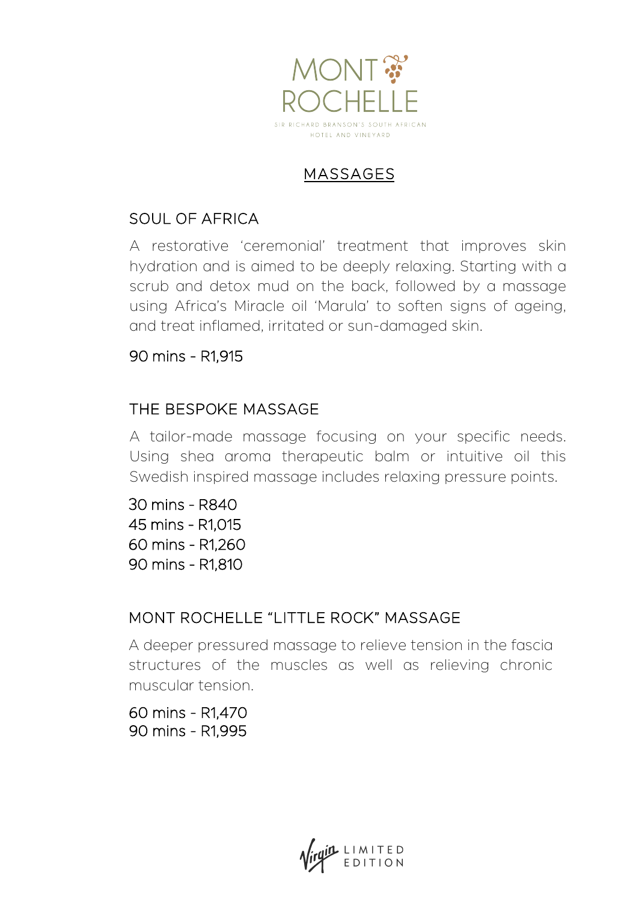

# MASSAGES

### SOUL OF AFRICA

A restorative 'ceremonial' treatment that improves skin hydration and is aimed to be deeply relaxing. Starting with a scrub and detox mud on the back, followed by a massage using Africa's Miracle oil 'Marula' to soften signs of ageing, and treat inflamed, irritated or sun-damaged skin.

#### 90 mins - R1,915

### THE BESPOKE MASSAGE

A tailor-made massage focusing on your specific needs. Using shea aroma therapeutic balm or intuitive oil this Swedish inspired massage includes relaxing pressure points.

30 mins - R840 45 mins - R1,015 60 mins - R1,260 90 mins - R1,810

# MONT ROCHELLE "LITTLE ROCK" MASSAGE

A deeper pressured massage to relieve tension in the fascia structures of the muscles as well as relieving chronic muscular tension.

60 mins - R1,470 90 mins - R1,995

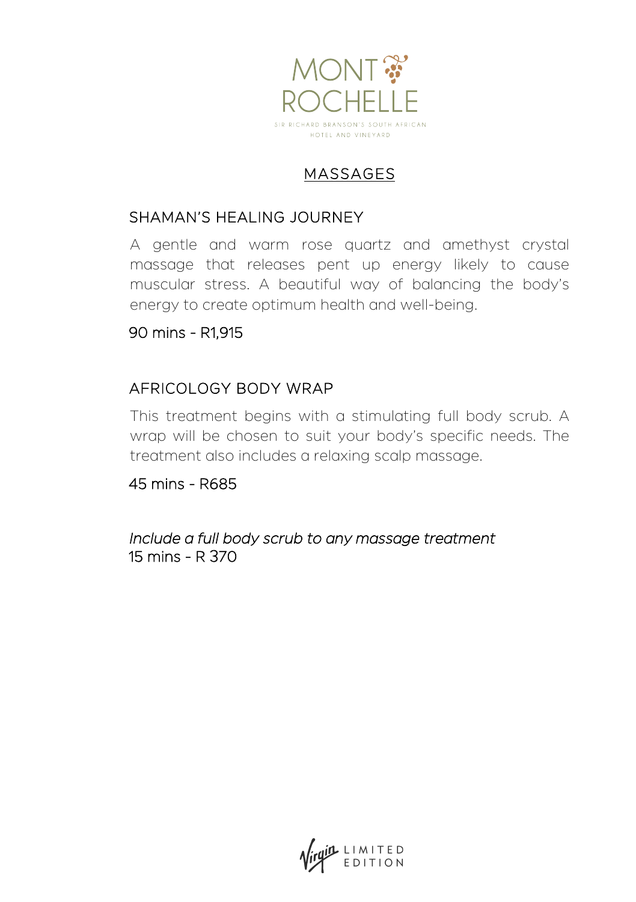

# MASSAGES

#### SHAMAN'S HEALING JOURNEY

A gentle and warm rose quartz and amethyst crystal massage that releases pent up energy likely to cause muscular stress. A beautiful way of balancing the body's energy to create optimum health and well-being.

#### 90 mins - R1,915

#### AFRICOLOGY BODY WRAP

This treatment begins with a stimulating full body scrub. A wrap will be chosen to suit your body's specific needs. The treatment also includes a relaxing scalp massage.

45 mins - R685

Include a full body scrub to any massage treatment 15 mins - R 370

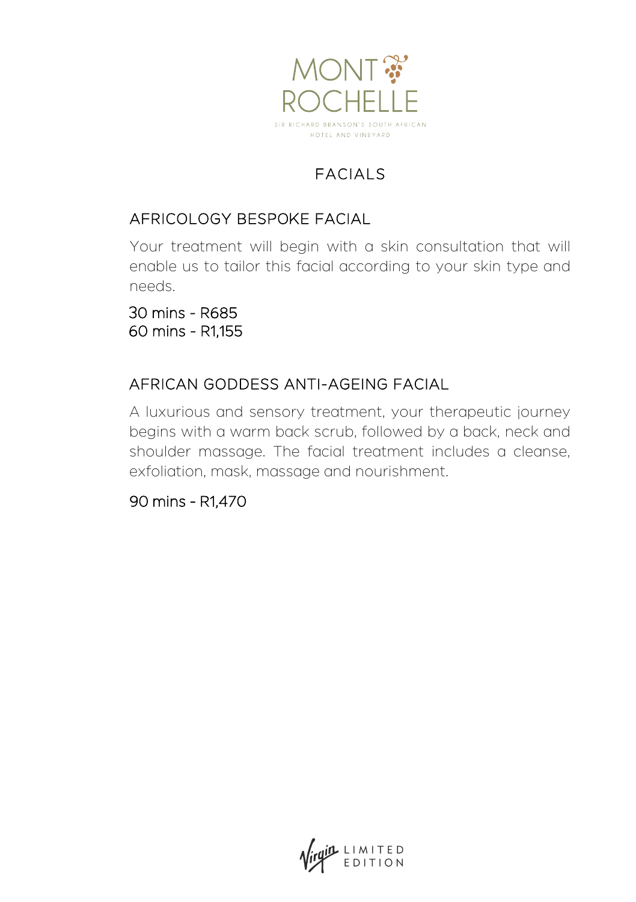

# FACIALS

## AFRICOLOGY BESPOKE FACIAL

Your treatment will begin with a skin consultation that will enable us to tailor this facial according to your skin type and needs.

30 mins - R685 60 mins - R1,155

# AFRICAN GODDESS ANTI-AGEING FACIAL

A luxurious and sensory treatment, your therapeutic journey begins with a warm back scrub, followed by a back, neck and shoulder massage. The facial treatment includes a cleanse, exfoliation, mask, massage and nourishment.

90 mins - R1,470

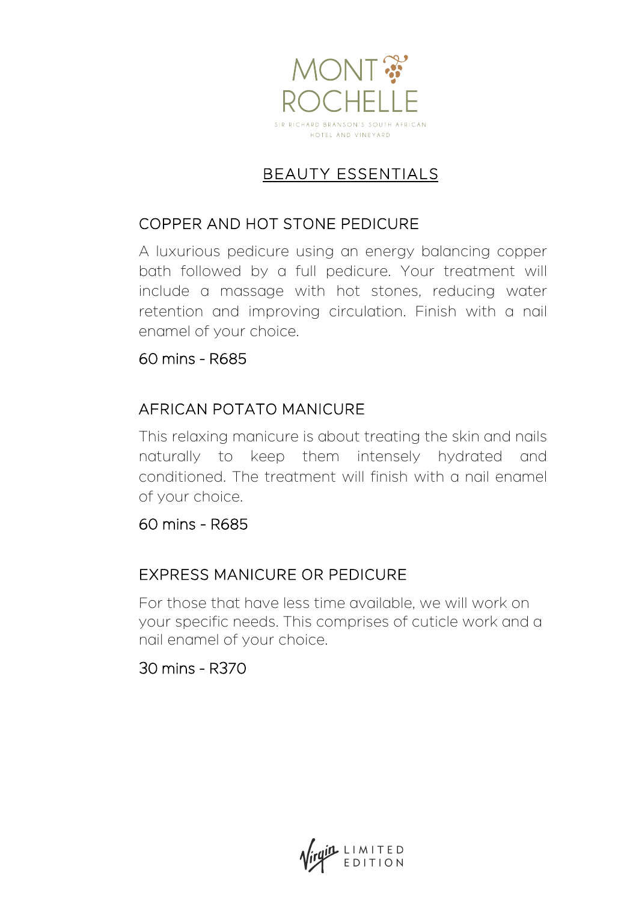

# BEAUTY ESSENTIALS

### COPPER AND HOT STONE PEDICURE

A luxurious pedicure using an energy balancing copper bath followed by a full pedicure. Your treatment will include a massage with hot stones, reducing water retention and improving circulation. Finish with a nail enamel of your choice.

#### 60 mins - R685

# AFRICAN POTATO MANICURE

This relaxing manicure is about treating the skin and nails naturally to keep them intensely hydrated and conditioned. The treatment will finish with a nail enamel of your choice.

#### 60 mins - R685

# EXPRESS MANICURE OR PEDICURE

For those that have less time available, we will work on your specific needs. This comprises of cuticle work and a nail enamel of your choice.

30 mins - R370